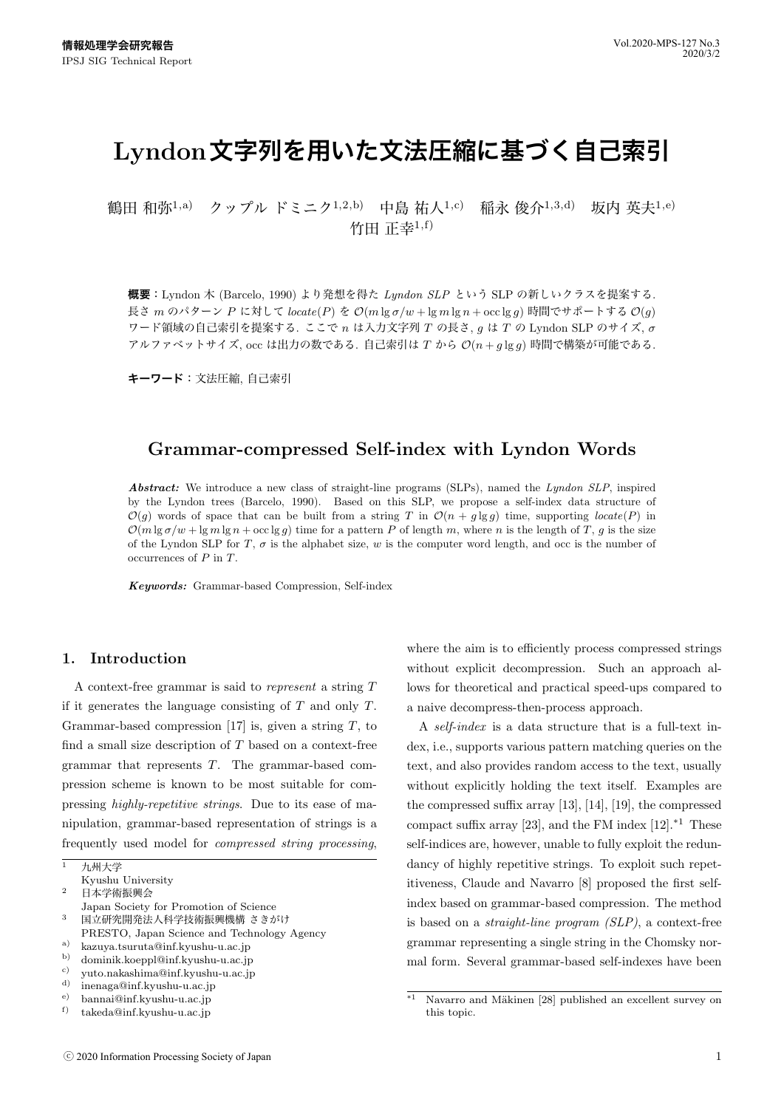# **Lyndon文字列を用いた文法圧縮に基づく自己索引**

鶴田 和弥<sup>1,a)</sup> クップル ドミニク<sup>1,2,b</sup>) 中島 祐人<sup>1,c)</sup> 稲永 俊介<sup>1,3,d</sup>) 坂内 英夫<sup>1,e)</sup> 竹田 正幸 $1, f$ 

**概要**:Lyndon 木 (Barcelo, 1990) より発想を得た *Lyndon SLP* という SLP の新しいクラスを提案する. 長さ *m* のパターン *P* に対して *locate*(*P*) <sup>を</sup> *O*(*m* lg *σ/w* + lg *m* lg *n* + occ lg *g*) 時間でサポートする *O*(*g*) ワード領域の自己索引を提案する. ここで *n* は入力文字列 *T* の長さ, *g* は *T* の Lyndon SLP のサイズ, *σ* アルファベットサイズ, occ は出力の数である. 自己索引は *T* から *O*(*n* + *g* lg *g*) 時間で構築が可能である.

**キーワード**:文法圧縮, 自己索引

# **Grammar-compressed Self-index with Lyndon Words**

*Abstract:* We introduce a new class of straight-line programs (SLPs), named the *Lyndon SLP*, inspired by the Lyndon trees (Barcelo, 1990). Based on this SLP, we propose a self-index data structure of  $\mathcal{O}(g)$  words of space that can be built from a string *T* in  $\mathcal{O}(n + g \lg g)$  time, supporting *locate*(*P*) in  $\mathcal{O}(m \lg \sigma/w + \lg m \lg n + \operatorname{occ} \lg g)$  time for a pattern *P* of length *m*, where *n* is the length of *T*, *g* is the size of the Lyndon SLP for *T*,  $\sigma$  is the alphabet size,  $w$  is the computer word length, and occ is the number of occurrences of *P* in *T*.

*Keywords:* Grammar-based Compression, Self-index

## **1. Introduction**

A context-free grammar is said to *represent* a string *T* if it generates the language consisting of *T* and only *T*. Grammar-based compression [17] is, given a string *T*, to find a small size description of *T* based on a context-free grammar that represents *T*. The grammar-based compression scheme is known to be most suitable for compressing *highly-repetitive strings*. Due to its ease of manipulation, grammar-based representation of strings is a frequently used model for *compressed string processing*,

- Japan Society for Promotion of Science <sup>3</sup> 国立研究開発法人科学技術振興機構 さきがけ
- PRESTO, Japan Science and Technology Agency
- a) kazuya.tsuruta@inf.kyushu-u.ac.jp<br>b) dominik keennl@inf.kyushu-u.ac.jp
- b) dominik.koeppl@inf.kyushu-u.ac.jp<br>c) vuto nakashima@inf kyushu-u ac.jp
- c) yuto.nakashima@inf.kyushu-u.ac.jp<br>d) inconsec@inf.kyushu-u.ac.jp
- d) inenaga@inf.kyushu-u.ac.jp
- e) bannai@inf.kyushu-u.ac.jp<br>f) takeda@inf.kyushu-u.ac.jp
- f) takeda@inf.kyushu-u.ac.jp

where the aim is to efficiently process compressed strings without explicit decompression. Such an approach allows for theoretical and practical speed-ups compared to a naive decompress-then-process approach.

A *self-index* is a data structure that is a full-text index, i.e., supports various pattern matching queries on the text, and also provides random access to the text, usually without explicitly holding the text itself. Examples are the compressed suffix array [13], [14], [19], the compressed compact suffix array [23], and the FM index  $[12].$ <sup>\*1</sup> These self-indices are, however, unable to fully exploit the redundancy of highly repetitive strings. To exploit such repetitiveness, Claude and Navarro [8] proposed the first selfindex based on grammar-based compression. The method is based on a *straight-line program (SLP)*, a context-free grammar representing a single string in the Chomsky normal form. Several grammar-based self-indexes have been

<sup>1</sup> 九州大学

Kyushu University

<sup>2</sup> 日本学術振興会

 $*\overline{1}$  Navarro and Mäkinen [28] published an excellent survey on this topic.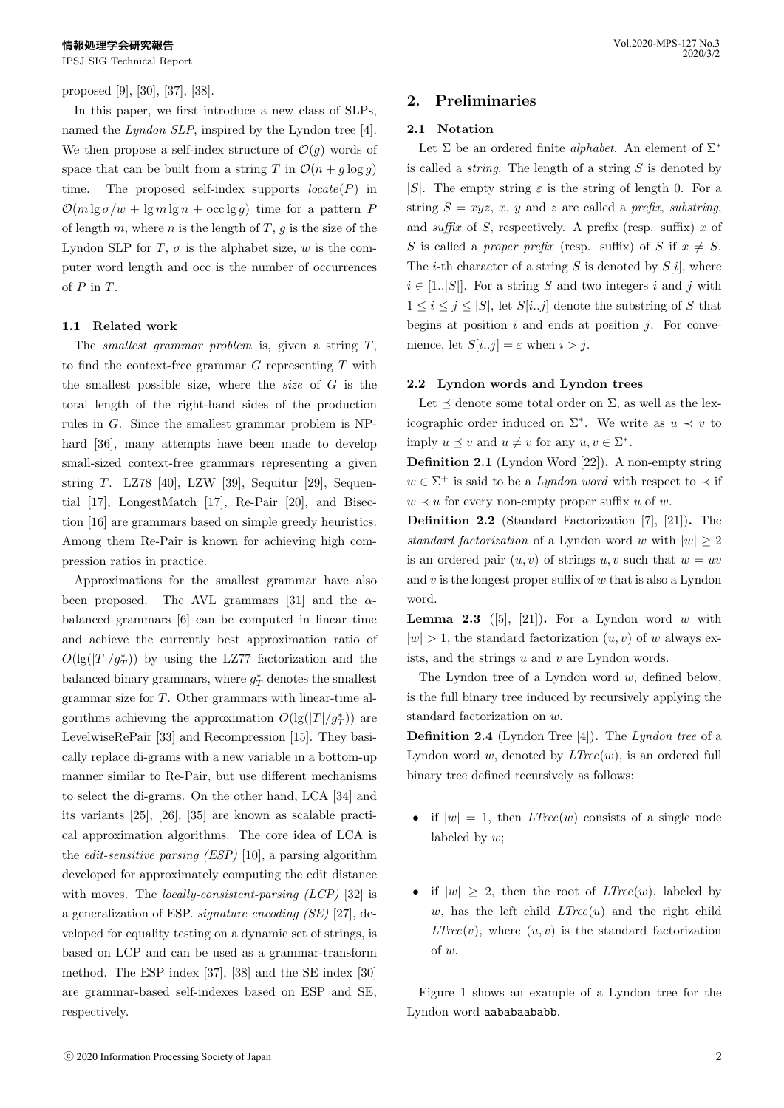proposed [9], [30], [37], [38].

In this paper, we first introduce a new class of SLPs, named the *Lyndon SLP*, inspired by the Lyndon tree [4]. We then propose a self-index structure of  $\mathcal{O}(g)$  words of space that can be built from a string *T* in  $\mathcal{O}(n + q \log q)$ time. The proposed self-index supports *locate*(*P*) in  $\mathcal{O}(m \lg \sigma/w + \lg m \lg n + \operatorname{occ} \lg g)$  time for a pattern *P* of length *m*, where *n* is the length of *T*, *g* is the size of the Lyndon SLP for  $T$ ,  $\sigma$  is the alphabet size,  $w$  is the computer word length and occ is the number of occurrences of *P* in *T*.

#### **1.1 Related work**

The *smallest grammar problem* is, given a string *T*, to find the context-free grammar *G* representing *T* with the smallest possible size, where the *size* of *G* is the total length of the right-hand sides of the production rules in *G*. Since the smallest grammar problem is NPhard [36], many attempts have been made to develop small-sized context-free grammars representing a given string *T*. LZ78 [40], LZW [39], Sequitur [29], Sequential [17], LongestMatch [17], Re-Pair [20], and Bisection [16] are grammars based on simple greedy heuristics. Among them Re-Pair is known for achieving high compression ratios in practice.

Approximations for the smallest grammar have also been proposed. The AVL grammars [31] and the *α*balanced grammars [6] can be computed in linear time and achieve the currently best approximation ratio of  $O(\lg(|T|/g_T^*))$  by using the LZ77 factorization and the balanced binary grammars, where  $g^*$ <sub>*T*</sub> denotes the smallest grammar size for *T*. Other grammars with linear-time algorithms achieving the approximation  $O(|g(|T|/g_T^*))$  are LevelwiseRePair [33] and Recompression [15]. They basically replace di-grams with a new variable in a bottom-up manner similar to Re-Pair, but use different mechanisms to select the di-grams. On the other hand, LCA [34] and its variants [25], [26], [35] are known as scalable practical approximation algorithms. The core idea of LCA is the *edit-sensitive parsing (ESP)* [10], a parsing algorithm developed for approximately computing the edit distance with moves. The *locally-consistent-parsing (LCP)* [32] is a generalization of ESP. *signature encoding (SE)* [27], developed for equality testing on a dynamic set of strings, is based on LCP and can be used as a grammar-transform method. The ESP index [37], [38] and the SE index [30] are grammar-based self-indexes based on ESP and SE, respectively.

# **2. Preliminaries**

## **2.1 Notation**

Let Σ be an ordered finite *alphabet*. An element of Σ*∗* is called a *string*. The length of a string *S* is denoted by *|S|*. The empty string  $\varepsilon$  is the string of length 0. For a string  $S = xyz$ ,  $x$ ,  $y$  and  $z$  are called a *prefix*, *substring*, and *suffix* of *S*, respectively. A prefix (resp. suffix) *x* of *S* is called a *proper prefix* (resp. suffix) of *S* if  $x \neq S$ . The *i*-th character of a string *S* is denoted by  $S[i]$ , where  $i \in [1..|S|]$ . For a string *S* and two integers *i* and *j* with  $1 \leq i \leq j \leq |S|$ , let  $S[i..j]$  denote the substring of S that begins at position *i* and ends at position *j*. For convenience, let  $S[i..j] = \varepsilon$  when  $i > j$ .

## **2.2 Lyndon words and Lyndon trees**

Let  $\preceq$  denote some total order on  $\Sigma$ , as well as the lexicographic order induced on  $\Sigma^*$ . We write as  $u \prec v$  to imply  $u \leq v$  and  $u \neq v$  for any  $u, v \in \Sigma^*$ .

**Definition 2.1** (Lyndon Word [22])**.** A non-empty string  $w \in \Sigma^+$  is said to be a *Lyndon word* with respect to  $\prec$  if  $w \prec u$  for every non-empty proper suffix *u* of *w*.

**Definition 2.2** (Standard Factorization [7], [21])**.** The *standard factorization* of a Lyndon word *w* with  $|w| \geq 2$ is an ordered pair  $(u, v)$  of strings  $u, v$  such that  $w = uv$ and *v* is the longest proper suffix of *w* that is also a Lyndon word.

**Lemma 2.3** ([5], [21]). For a Lyndon word  $w$  with  $|w| > 1$ , the standard factorization  $(u, v)$  of *w* always exists, and the strings *u* and *v* are Lyndon words.

The Lyndon tree of a Lyndon word *w*, defined below, is the full binary tree induced by recursively applying the standard factorization on *w*.

**Definition 2.4** (Lyndon Tree [4])**.** The *Lyndon tree* of a Lyndon word *w*, denoted by *LTree*(*w*), is an ordered full binary tree defined recursively as follows:

- if  $|w| = 1$ , then *LTree*(*w*) consists of a single node labeled by *w*;
- if  $|w| \geq 2$ , then the root of *LTree*(*w*), labeled by  $w$ , has the left child  $LTree(u)$  and the right child  $LTree(v)$ , where  $(u, v)$  is the standard factorization of *w*.

Figure 1 shows an example of a Lyndon tree for the Lyndon word aababaababb.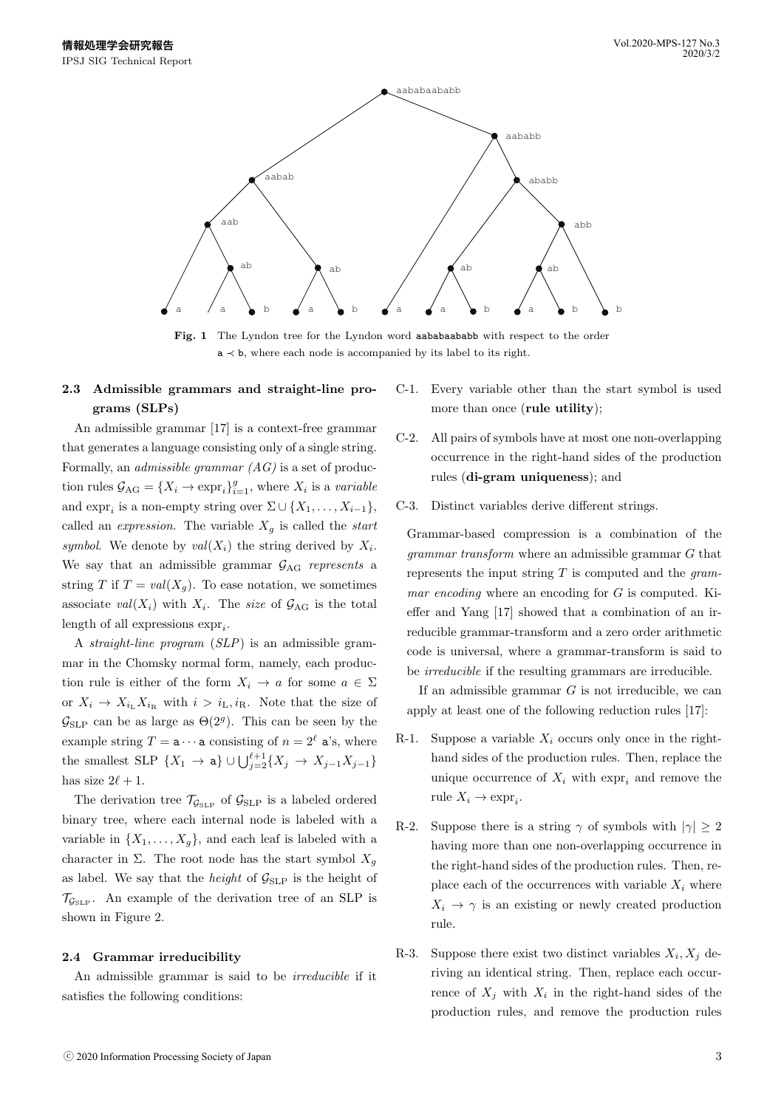

Fig. 1 The Lyndon tree for the Lyndon word aababaababb with respect to the order a *≺* b, where each node is accompanied by its label to its right.

# **2.3 Admissible grammars and straight-line programs (SLPs)**

An admissible grammar [17] is a context-free grammar that generates a language consisting only of a single string. Formally, an *admissible grammar (AG)* is a set of production rules  $\mathcal{G}_{AG} = \{X_i \to \exp r_i\}_{i=1}^g$ , where  $X_i$  is a *variable* and  $\exp_i$  is a non-empty string over  $\Sigma \cup \{X_1, \ldots, X_{i-1}\},$ called an *expression*. The variable  $X_q$  is called the *start symbol.* We denote by  $val(X_i)$  the string derived by  $X_i$ . We say that an admissible grammar  $G_{AG}$  *represents* a string *T* if  $T = val(X_q)$ . To ease notation, we sometimes associate  $val(X_i)$  with  $X_i$ . The *size* of  $\mathcal{G}_{AG}$  is the total length of all expressions  $\exp r_i$ .

A *straight-line program* (*SLP*) is an admissible grammar in the Chomsky normal form, namely, each production rule is either of the form  $X_i \to a$  for some  $a \in \Sigma$ or  $X_i \to X_{i_L} X_{i_R}$  with  $i > i_L, i_R$ . Note that the size of  $\mathcal{G}_{SLP}$  can be as large as  $\Theta(2^g)$ . This can be seen by the example string  $T = a \cdots a$  consisting of  $n = 2^{\ell}$  a's, where the smallest SLP  $\{X_1 \to \mathbf{a}\} \cup \bigcup_{j=2}^{\ell+1} \{X_j \to X_{j-1}X_{j-1}\}$ has size  $2\ell + 1$ .

The derivation tree  $\mathcal{T}_{\mathcal{G}_{SLP}}$  of  $\mathcal{G}_{SLP}$  is a labeled ordered binary tree, where each internal node is labeled with a variable in  $\{X_1, \ldots, X_q\}$ , and each leaf is labeled with a character in  $\Sigma$ . The root node has the start symbol  $X_q$ as label. We say that the *height* of  $\mathcal{G}_{SLP}$  is the height of  $\mathcal{T}_{\mathcal{G}_{\text{SLP}}}$ . An example of the derivation tree of an SLP is shown in Figure 2.

#### **2.4 Grammar irreducibility**

An admissible grammar is said to be *irreducible* if it satisfies the following conditions:

- C-1. Every variable other than the start symbol is used more than once (**rule utility**);
- C-2. All pairs of symbols have at most one non-overlapping occurrence in the right-hand sides of the production rules (**di-gram uniqueness**); and
- C-3. Distinct variables derive different strings.

Grammar-based compression is a combination of the *grammar transform* where an admissible grammar *G* that represents the input string *T* is computed and the *grammar encoding* where an encoding for *G* is computed. Kieffer and Yang [17] showed that a combination of an irreducible grammar-transform and a zero order arithmetic code is universal, where a grammar-transform is said to be *irreducible* if the resulting grammars are irreducible.

If an admissible grammar *G* is not irreducible, we can apply at least one of the following reduction rules [17]:

- R-1. Suppose a variable  $X_i$  occurs only once in the righthand sides of the production rules. Then, replace the unique occurrence of  $X_i$  with  $\exp r_i$  and remove the rule  $X_i \to \exp r_i$ .
- R-2. Suppose there is a string  $\gamma$  of symbols with  $|\gamma| \geq 2$ having more than one non-overlapping occurrence in the right-hand sides of the production rules. Then, replace each of the occurrences with variable  $X_i$  where  $X_i \rightarrow \gamma$  is an existing or newly created production rule.
- R-3. Suppose there exist two distinct variables  $X_i, X_j$  deriving an identical string. Then, replace each occurrence of  $X_j$  with  $X_i$  in the right-hand sides of the production rules, and remove the production rules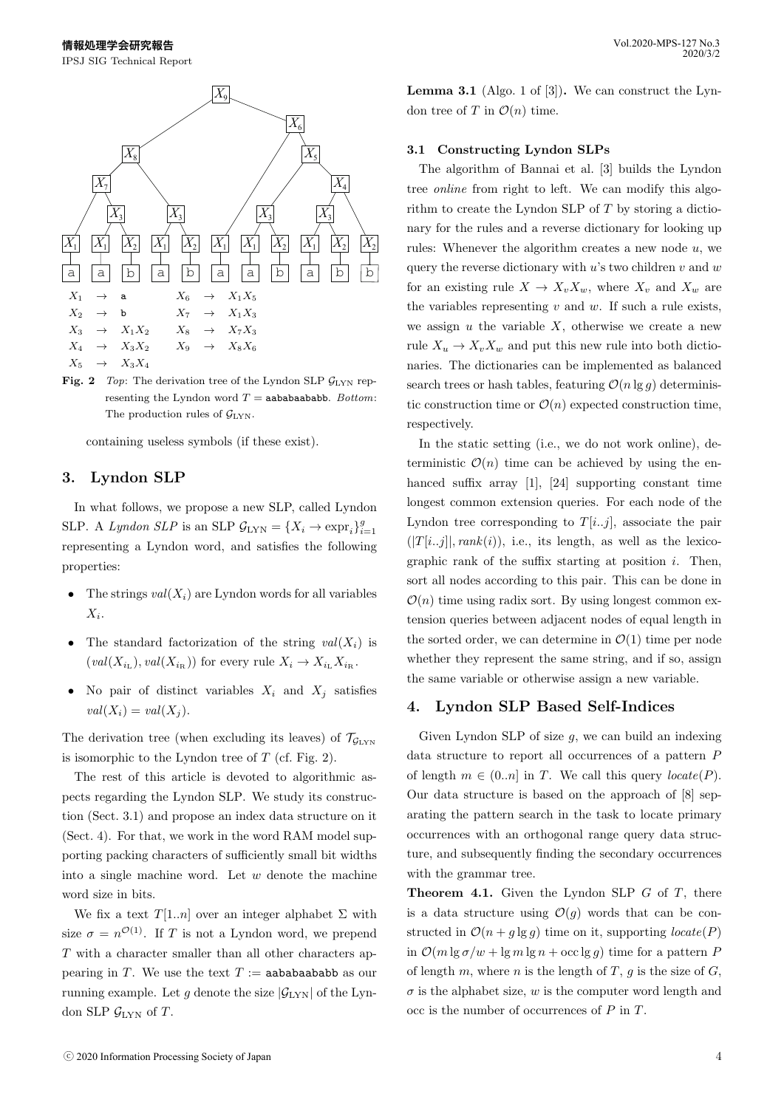

**Fig. 2** *Top*: The derivation tree of the Lyndon SLP *G*LYN representing the Lyndon word  $T =$ **aababaababb.** *Bottom*: The production rules of  $\mathcal{G}_{\text{LYN}}$ .

containing useless symbols (if these exist).

# **3. Lyndon SLP**

In what follows, we propose a new SLP, called Lyndon SLP. A *Lyndon SLP* is an SLP  $\mathcal{G}_{\text{LYN}} = \{X_i \to \text{expr}_i\}_{i=1}^g$ representing a Lyndon word, and satisfies the following properties:

- The strings  $val(X_i)$  are Lyndon words for all variables *X<sup>i</sup>* .
- The standard factorization of the string  $val(X_i)$  is  $\left(\text{val}(X_{i_{\text{L}}}), \text{val}(X_{i_{\text{R}}})\right)$  for every rule  $X_i \to X_{i_{\text{L}}} X_{i_{\text{R}}}$ .
- No pair of distinct variables  $X_i$  and  $X_j$  satisfies  $val(X_i) = val(X_j).$

The derivation tree (when excluding its leaves) of  $\mathcal{T}_{\mathcal{G}_{\text{LYN}}}$ is isomorphic to the Lyndon tree of *T* (cf. Fig. 2).

The rest of this article is devoted to algorithmic aspects regarding the Lyndon SLP. We study its construction (Sect. 3.1) and propose an index data structure on it (Sect. 4). For that, we work in the word RAM model supporting packing characters of sufficiently small bit widths into a single machine word. Let *w* denote the machine word size in bits.

We fix a text  $T[1..n]$  over an integer alphabet  $\Sigma$  with size  $\sigma = n^{\mathcal{O}(1)}$ . If *T* is not a Lyndon word, we prepend *T* with a character smaller than all other characters appearing in *T*. We use the text  $T :=$  aababaababb as our running example. Let  $g$  denote the size  $|\mathcal{G}_{\text{LYN}}|$  of the Lyndon SLP  $\mathcal{G}_{\text{LYN}}$  of *T*.

**Lemma 3.1** (Algo. 1 of [3])**.** We can construct the Lyndon tree of *T* in  $\mathcal{O}(n)$  time.

#### **3.1 Constructing Lyndon SLPs**

The algorithm of Bannai et al. [3] builds the Lyndon tree *online* from right to left. We can modify this algorithm to create the Lyndon SLP of *T* by storing a dictionary for the rules and a reverse dictionary for looking up rules: Whenever the algorithm creates a new node *u*, we query the reverse dictionary with *u*'s two children *v* and *w* for an existing rule  $X \to X_v X_w$ , where  $X_v$  and  $X_w$  are the variables representing *v* and *w*. If such a rule exists, we assign *u* the variable *X*, otherwise we create a new rule  $X_u \to X_v X_w$  and put this new rule into both dictionaries. The dictionaries can be implemented as balanced search trees or hash tables, featuring  $\mathcal{O}(n \lg q)$  deterministic construction time or  $\mathcal{O}(n)$  expected construction time, respectively.

In the static setting (i.e., we do not work online), deterministic  $\mathcal{O}(n)$  time can be achieved by using the enhanced suffix array [1], [24] supporting constant time longest common extension queries. For each node of the Lyndon tree corresponding to  $T[i..j]$ , associate the pair  $(|T[i..j]|, rank(i)),$  i.e., its length, as well as the lexicographic rank of the suffix starting at position *i*. Then, sort all nodes according to this pair. This can be done in  $\mathcal{O}(n)$  time using radix sort. By using longest common extension queries between adjacent nodes of equal length in the sorted order, we can determine in  $\mathcal{O}(1)$  time per node whether they represent the same string, and if so, assign the same variable or otherwise assign a new variable.

#### **4. Lyndon SLP Based Self-Indices**

Given Lyndon SLP of size *g*, we can build an indexing data structure to report all occurrences of a pattern *P* of length  $m \in (0..n]$  in *T*. We call this query  $\text{locate}(P)$ . Our data structure is based on the approach of [8] separating the pattern search in the task to locate primary occurrences with an orthogonal range query data structure, and subsequently finding the secondary occurrences with the grammar tree.

**Theorem 4.1.** Given the Lyndon SLP *G* of *T*, there is a data structure using  $\mathcal{O}(q)$  words that can be constructed in  $\mathcal{O}(n + g \lg g)$  time on it, supporting *locate*(*P*) in  $\mathcal{O}(m \lg \sigma/w + \lg m \lg n + \mathrm{occ} \lg q)$  time for a pattern *P* of length  $m$ , where  $n$  is the length of  $T$ ,  $g$  is the size of  $G$ ,  $\sigma$  is the alphabet size,  $w$  is the computer word length and occ is the number of occurrences of *P* in *T*.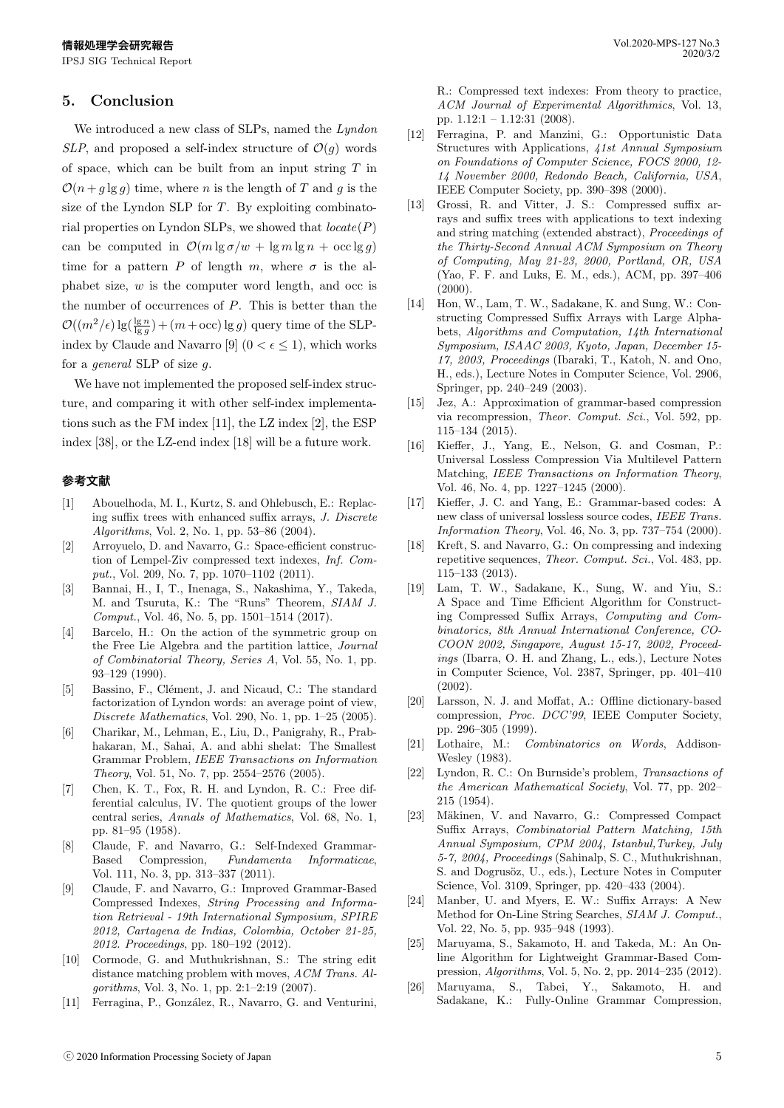# **5. Conclusion**

We introduced a new class of SLPs, named the *Lyndon SLP*, and proposed a self-index structure of  $\mathcal{O}(g)$  words of space, which can be built from an input string *T* in  $\mathcal{O}(n + g \lg g)$  time, where *n* is the length of *T* and *g* is the size of the Lyndon SLP for *T*. By exploiting combinatorial properties on Lyndon SLPs, we showed that *locate*(*P*) can be computed in  $\mathcal{O}(m \lg \sigma/w + \lg m \lg n + \operatorname{occ} \lg q)$ time for a pattern *P* of length *m*, where  $\sigma$  is the alphabet size, *w* is the computer word length, and occ is the number of occurrences of *P*. This is better than the  $\mathcal{O}((m^2/\epsilon)\lg(\frac{\lg n}{\lg g}) + (m + \mathrm{occ})\lg g)$  query time of the SLPindex by Claude and Navarro [9]  $(0 < \epsilon \leq 1)$ , which works for a *general* SLP of size *g*.

We have not implemented the proposed self-index structure, and comparing it with other self-index implementations such as the FM index [11], the LZ index [2], the ESP index [38], or the LZ-end index [18] will be a future work.

#### **参考文献**

- [1] Abouelhoda, M. I., Kurtz, S. and Ohlebusch, E.: Replacing suffix trees with enhanced suffix arrays, *J. Discrete Algorithms*, Vol. 2, No. 1, pp. 53–86 (2004).
- [2] Arroyuelo, D. and Navarro, G.: Space-efficient construction of Lempel-Ziv compressed text indexes, *Inf. Comput.*, Vol. 209, No. 7, pp. 1070–1102 (2011).
- [3] Bannai, H., I, T., Inenaga, S., Nakashima, Y., Takeda, M. and Tsuruta, K.: The "Runs" Theorem, *SIAM J. Comput.*, Vol. 46, No. 5, pp. 1501–1514 (2017).
- [4] Barcelo, H.: On the action of the symmetric group on the Free Lie Algebra and the partition lattice, *Journal of Combinatorial Theory, Series A*, Vol. 55, No. 1, pp. 93–129 (1990).
- [5] Bassino, F., Clément, J. and Nicaud, C.: The standard factorization of Lyndon words: an average point of view, *Discrete Mathematics*, Vol. 290, No. 1, pp. 1–25 (2005).
- [6] Charikar, M., Lehman, E., Liu, D., Panigrahy, R., Prabhakaran, M., Sahai, A. and abhi shelat: The Smallest Grammar Problem, *IEEE Transactions on Information Theory*, Vol. 51, No. 7, pp. 2554–2576 (2005).
- [7] Chen, K. T., Fox, R. H. and Lyndon, R. C.: Free differential calculus, IV. The quotient groups of the lower central series, *Annals of Mathematics*, Vol. 68, No. 1, pp. 81–95 (1958).
- [8] Claude, F. and Navarro, G.: Self-Indexed Grammar-Based Compression, *Fundamenta Informaticae*, Vol. 111, No. 3, pp. 313–337 (2011).
- [9] Claude, F. and Navarro, G.: Improved Grammar-Based Compressed Indexes, *String Processing and Information Retrieval - 19th International Symposium, SPIRE 2012, Cartagena de Indias, Colombia, October 21-25, 2012. Proceedings*, pp. 180–192 (2012).
- [10] Cormode, G. and Muthukrishnan, S.: The string edit distance matching problem with moves, *ACM Trans. Algorithms*, Vol. 3, No. 1, pp. 2:1–2:19 (2007).
- [11] Ferragina, P., González, R., Navarro, G. and Venturini,

R.: Compressed text indexes: From theory to practice, *ACM Journal of Experimental Algorithmics*, Vol. 13, pp. 1.12:1 – 1.12:31 (2008).

- [12] Ferragina, P. and Manzini, G.: Opportunistic Data Structures with Applications, *41st Annual Symposium on Foundations of Computer Science, FOCS 2000, 12- 14 November 2000, Redondo Beach, California, USA*, IEEE Computer Society, pp. 390–398 (2000).
- [13] Grossi, R. and Vitter, J. S.: Compressed suffix arrays and suffix trees with applications to text indexing and string matching (extended abstract), *Proceedings of the Thirty-Second Annual ACM Symposium on Theory of Computing, May 21-23, 2000, Portland, OR, USA* (Yao, F. F. and Luks, E. M., eds.), ACM, pp. 397–406  $(2000)$ .
- [14] Hon, W., Lam, T. W., Sadakane, K. and Sung, W.: Constructing Compressed Suffix Arrays with Large Alphabets, *Algorithms and Computation, 14th International Symposium, ISAAC 2003, Kyoto, Japan, December 15- 17, 2003, Proceedings* (Ibaraki, T., Katoh, N. and Ono, H., eds.), Lecture Notes in Computer Science, Vol. 2906, Springer, pp. 240–249 (2003).
- [15] Jez, A.: Approximation of grammar-based compression via recompression, *Theor. Comput. Sci.*, Vol. 592, pp. 115–134 (2015).
- [16] Kieffer, J., Yang, E., Nelson, G. and Cosman, P.: Universal Lossless Compression Via Multilevel Pattern Matching, *IEEE Transactions on Information Theory*, Vol. 46, No. 4, pp. 1227–1245 (2000).
- [17] Kieffer, J. C. and Yang, E.: Grammar-based codes: A new class of universal lossless source codes, *IEEE Trans. Information Theory*, Vol. 46, No. 3, pp. 737–754 (2000).
- [18] Kreft, S. and Navarro, G.: On compressing and indexing repetitive sequences, *Theor. Comput. Sci.*, Vol. 483, pp. 115–133 (2013).
- [19] Lam, T. W., Sadakane, K., Sung, W. and Yiu, S.: A Space and Time Efficient Algorithm for Constructing Compressed Suffix Arrays, *Computing and Combinatorics, 8th Annual International Conference, CO-COON 2002, Singapore, August 15-17, 2002, Proceedings* (Ibarra, O. H. and Zhang, L., eds.), Lecture Notes in Computer Science, Vol. 2387, Springer, pp. 401–410 (2002).
- [20] Larsson, N. J. and Moffat, A.: Offline dictionary-based compression, *Proc. DCC'99*, IEEE Computer Society, pp. 296–305 (1999).
- [21] Lothaire, M.: *Combinatorics on Words*, Addison-Wesley (1983).
- [22] Lyndon, R. C.: On Burnside's problem, *Transactions of the American Mathematical Society*, Vol. 77, pp. 202– 215 (1954).
- [23] Mäkinen, V. and Navarro, G.: Compressed Compact Suffix Arrays, *Combinatorial Pattern Matching, 15th Annual Symposium, CPM 2004, Istanbul,Turkey, July 5-7, 2004, Proceedings* (Sahinalp, S. C., Muthukrishnan, S. and Dogrusöz, U., eds.), Lecture Notes in Computer Science, Vol. 3109, Springer, pp. 420–433 (2004).
- [24] Manber, U. and Myers, E. W.: Suffix Arrays: A New Method for On-Line String Searches, *SIAM J. Comput.*, Vol. 22, No. 5, pp. 935–948 (1993).
- [25] Maruyama, S., Sakamoto, H. and Takeda, M.: An Online Algorithm for Lightweight Grammar-Based Compression, *Algorithms*, Vol. 5, No. 2, pp. 2014–235 (2012).
- [26] Maruyama, S., Tabei, Y., Sakamoto, H. and Sadakane, K.: Fully-Online Grammar Compression,